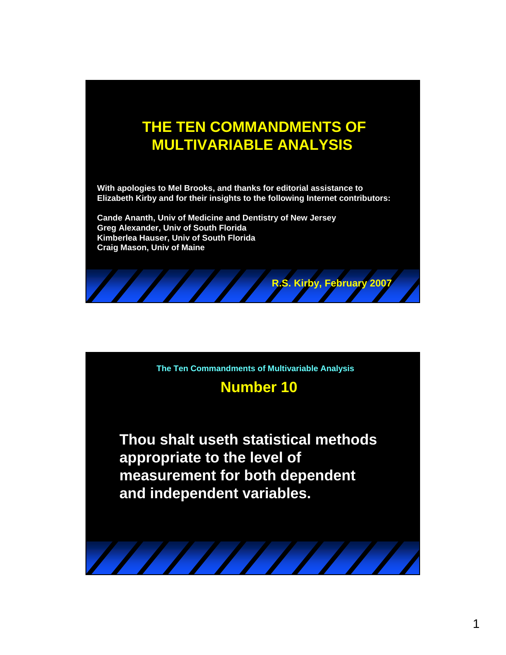# **THE TEN COMMANDMENTS OF MULTIVARIABLE ANALYSIS**

**With apologies to Mel Brooks, and thanks for editorial assistance to Elizabeth Kirby and for their insights to the following Internet contributors:** 

**Cande Ananth, Univ of Medicine and Dentistry of New Jersey Greg Alexander, Univ of South Florida Kimberlea Hauser, Univ of South Florida Craig Mason, Univ of Maine**



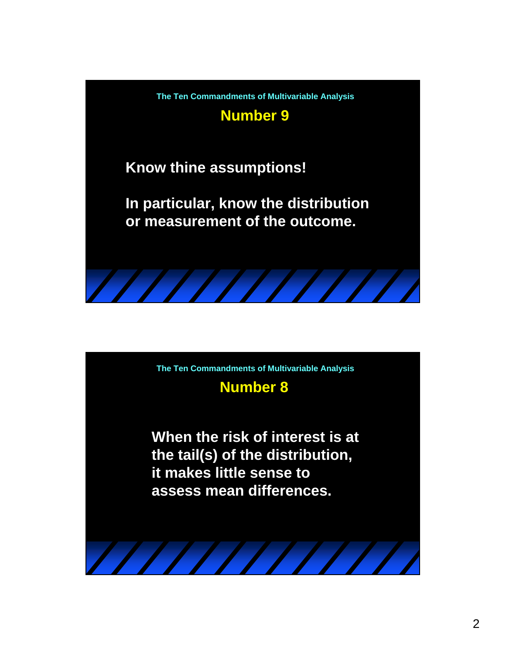

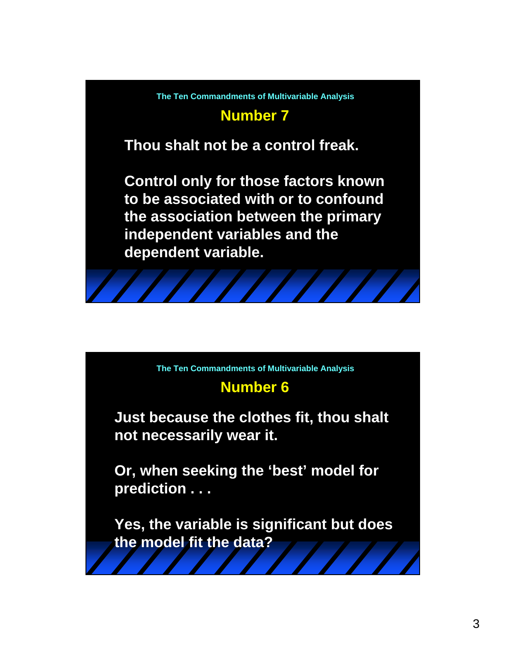

**The Ten Commandments of Multivariable Analysis**

## **Number 6**

**Just because the clothes fit, thou shalt not necessarily wear it.** 

**Or, when seeking the 'best' model for prediction . . .** 

**Yes, the variable is significant but does the model fit the data?**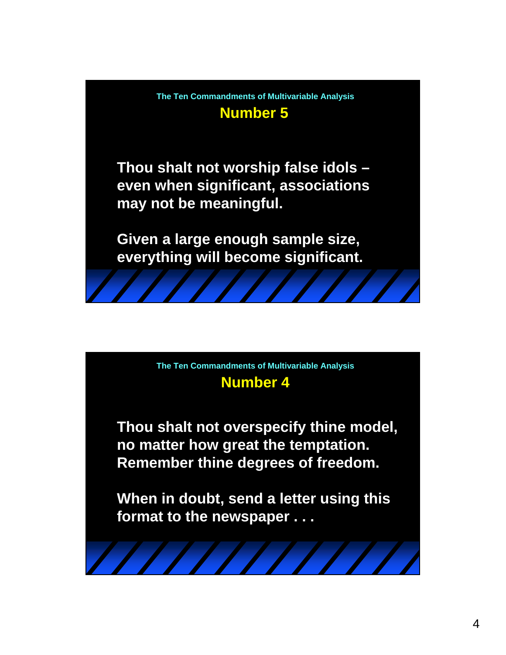

**The Ten Commandments of Multivariable Analysis**

## **Number 4**

**Thou shalt not overspecify thine model, no matter how great the temptation. Remember thine degrees of freedom.** 

**When in doubt, send a letter using this format to the newspaper . . .**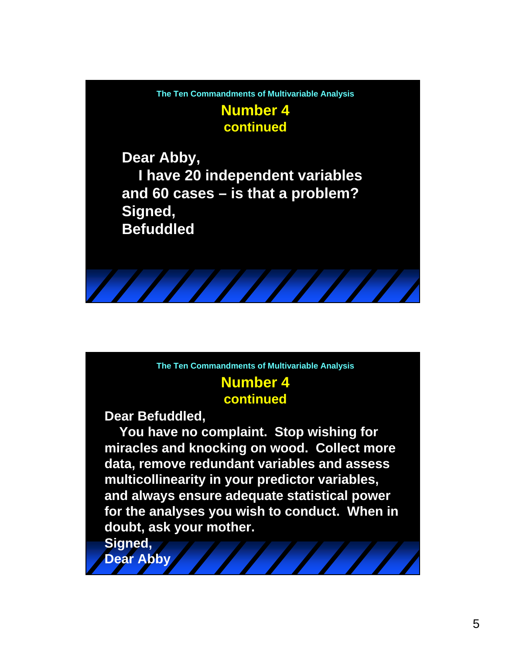**Number 4 The Ten Commandments of Multivariable Analysis**

**continued**

**Dear Abby, I have 20 independent variables and 60 cases – is that a problem? Signed, Befuddled**

**The Ten Commandments of Multivariable Analysis**

#### **Number 4 continued**

**Dear Befuddled,**

**You have no complaint. Stop wishing for miracles and knocking on wood. Collect more data, remove redundant variables and assess multicollinearity in your predictor variables, and always ensure adequate statistical power for the analyses you wish to conduct. When in doubt, ask your mother.**

**Signed, Dear Abby**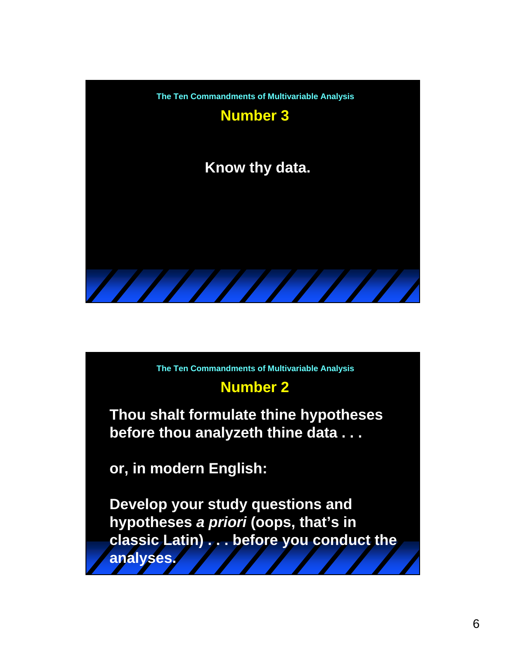

**The Ten Commandments of Multivariable Analysis**

### **Number 2**

**Thou shalt formulate thine hypotheses before thou analyzeth thine data . . .** 

**or, in modern English:** 

**Develop your study questions and hypotheses** *a priori* **(oops, that's in classic Latin) . . . before you conduct the analyses.**